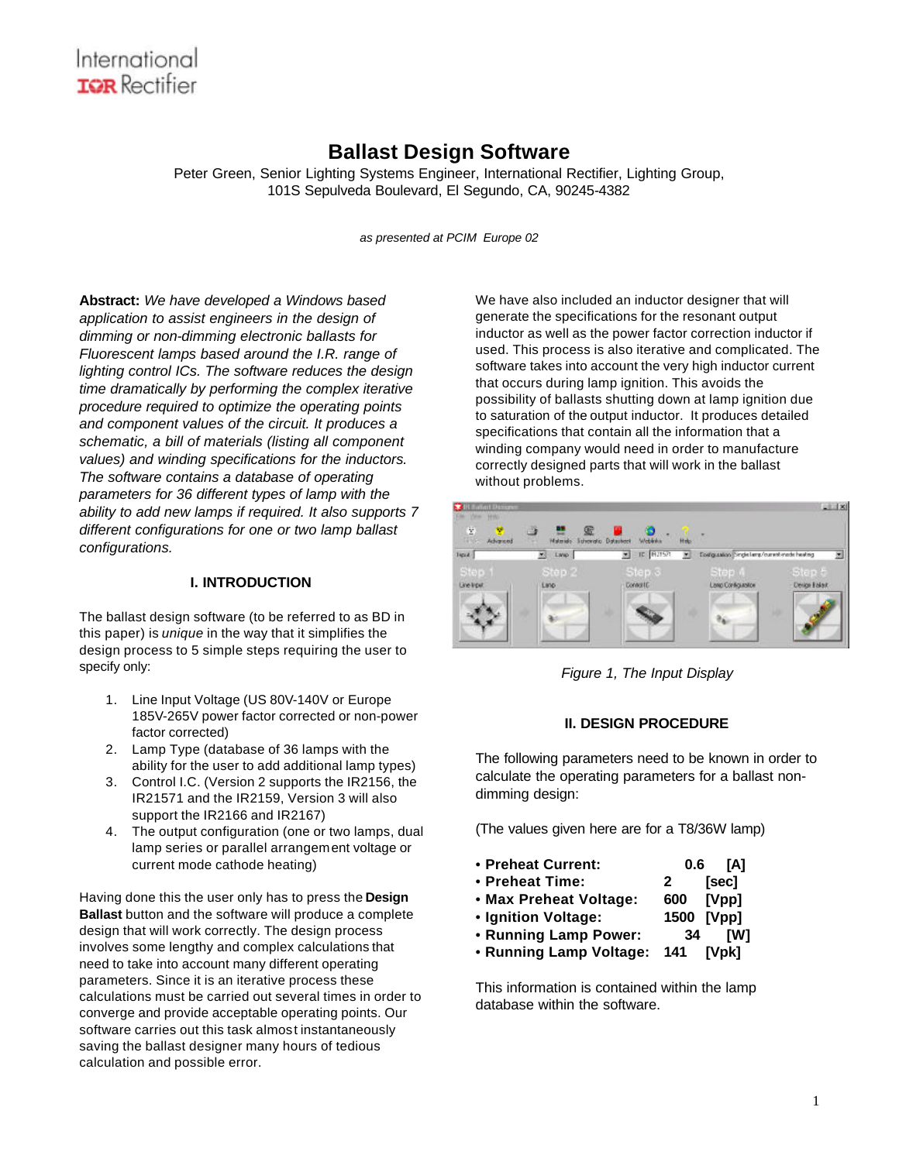### **Ballast Design Software**

Peter Green, Senior Lighting Systems Engineer, International Rectifier, Lighting Group, 101S Sepulveda Boulevard, El Segundo, CA, 90245-4382

*as presented at PCIM Europe 02*

**Abstract:** *We have developed a Windows based application to assist engineers in the design of dimming or non-dimming electronic ballasts for Fluorescent lamps based around the I.R. range of lighting control ICs. The software reduces the design time dramatically by performing the complex iterative procedure required to optimize the operating points and component values of the circuit. It produces a schematic, a bill of materials (listing all component values) and winding specifications for the inductors. The software contains a database of operating parameters for 36 different types of lamp with the ability to add new lamps if required. It also supports 7 different configurations for one or two lamp ballast configurations.*

#### **I. INTRODUCTION**

The ballast design software (to be referred to as BD in this paper) is *unique* in the way that it simplifies the design process to 5 simple steps requiring the user to specify only:

- 1. Line Input Voltage (US 80V-140V or Europe 185V-265V power factor corrected or non-power factor corrected)
- 2. Lamp Type (database of 36 lamps with the ability for the user to add additional lamp types)
- 3. Control I.C. (Version 2 supports the IR2156, the IR21571 and the IR2159, Version 3 will also support the IR2166 and IR2167)
- 4. The output configuration (one or two lamps, dual lamp series or parallel arrangement voltage or current mode cathode heating)

Having done this the user only has to press the **Design Ballast** button and the software will produce a complete design that will work correctly. The design process involves some lengthy and complex calculations that need to take into account many different operating parameters. Since it is an iterative process these calculations must be carried out several times in order to converge and provide acceptable operating points. Our software carries out this task almost instantaneously saving the ballast designer many hours of tedious calculation and possible error.

We have also included an inductor designer that will generate the specifications for the resonant output inductor as well as the power factor correction inductor if used. This process is also iterative and complicated. The software takes into account the very high inductor current that occurs during lamp ignition. This avoids the possibility of ballasts shutting down at lamp ignition due to saturation of the output inductor. It produces detailed specifications that contain all the information that a winding company would need in order to manufacture correctly designed parts that will work in the ballast without problems.



*Figure 1, The Input Display*

### **II. DESIGN PROCEDURE**

The following parameters need to be known in order to calculate the operating parameters for a ballast nondimming design:

(The values given here are for a T8/36W lamp)

- **Preheat Current: 0.6 [A]**
- • **Preheat Time: 2 [sec]**
- • **Max Preheat Voltage: 600 [Vpp]**
- • **Ignition Voltage: 1500 [Vpp]**
- • **Running Lamp Power: 34 [W]**
- • **Running Lamp Voltage: 141 [Vpk]**

This information is contained within the lamp database within the software.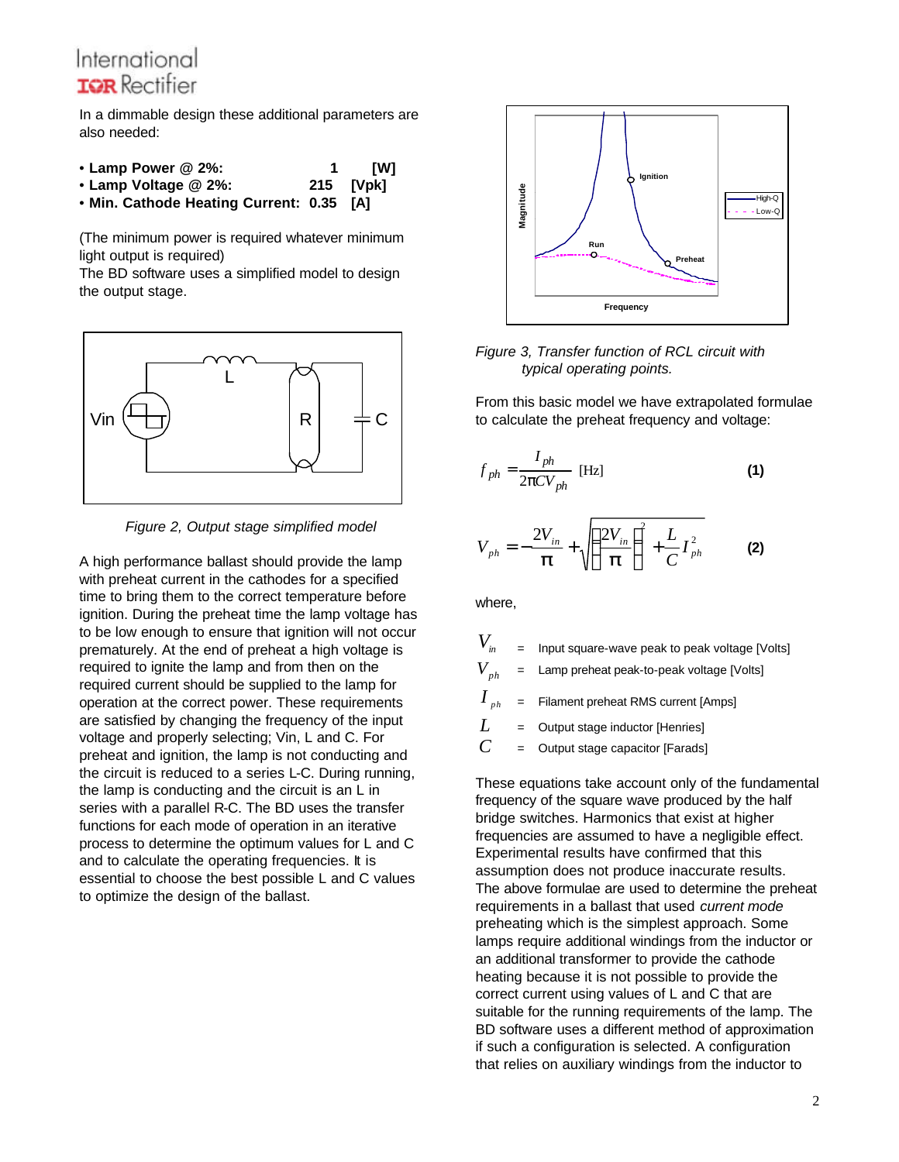In a dimmable design these additional parameters are also needed:

- **Lamp Power @ 2%: 1 [W]**
- • **Lamp Voltage @ 2%: 215 [Vpk]**
- • **Min. Cathode Heating Current: 0.35 [A]**

(The minimum power is required whatever minimum light output is required)

The BD software uses a simplified model to design the output stage.



*Figure 2, Output stage simplified model*

A high performance ballast should provide the lamp with preheat current in the cathodes for a specified time to bring them to the correct temperature before ignition. During the preheat time the lamp voltage has to be low enough to ensure that ignition will not occur prematurely. At the end of preheat a high voltage is required to ignite the lamp and from then on the required current should be supplied to the lamp for operation at the correct power. These requirements are satisfied by changing the frequency of the input voltage and properly selecting; Vin, L and C. For preheat and ignition, the lamp is not conducting and the circuit is reduced to a series L-C. During running, the lamp is conducting and the circuit is an L in series with a parallel R-C. The BD uses the transfer functions for each mode of operation in an iterative process to determine the optimum values for L and C and to calculate the operating frequencies. It is essential to choose the best possible L and C values to optimize the design of the ballast.



*Figure 3, Transfer function of RCL circuit with typical operating points.*

From this basic model we have extrapolated formulae to calculate the preheat frequency and voltage:

$$
f_{ph} = \frac{I_{ph}}{2pCV_{ph}} \text{ [Hz]}
$$
 (1)

$$
V_{ph} = -\frac{2V_{in}}{P} + \sqrt{\left(\frac{2V_{in}}{P}\right)^2 + \frac{L}{C}I_{ph}^2}
$$
 (2)

where,

| $V_{\scriptscriptstyle in}$ | $=$ | Input square-wave peak to peak voltage [Volts]       |
|-----------------------------|-----|------------------------------------------------------|
|                             |     | $V_{ph}$ = Lamp preheat peak-to-peak voltage [Volts] |
|                             |     | $I_{ph}$ = Filament preheat RMS current [Amps]       |
| L                           |     | $=$ Output stage inductor [Henries]                  |
| $\mathcal{C}$               | $=$ | Output stage capacitor [Farads]                      |

These equations take account only of the fundamental frequency of the square wave produced by the half bridge switches. Harmonics that exist at higher frequencies are assumed to have a negligible effect. Experimental results have confirmed that this assumption does not produce inaccurate results. The above formulae are used to determine the preheat requirements in a ballast that used *current mode*  preheating which is the simplest approach. Some lamps require additional windings from the inductor or an additional transformer to provide the cathode heating because it is not possible to provide the correct current using values of L and C that are suitable for the running requirements of the lamp. The BD software uses a different method of approximation if such a configuration is selected. A configuration that relies on auxiliary windings from the inductor to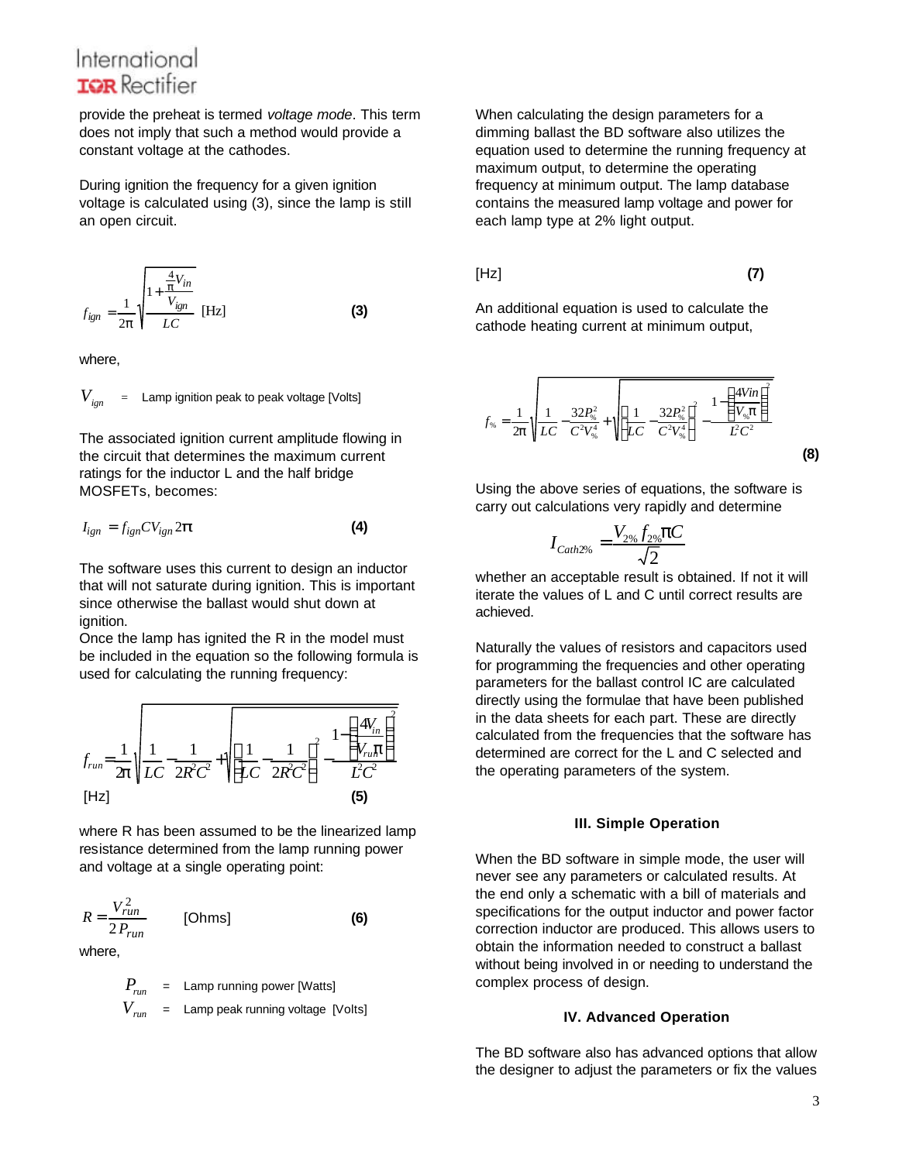provide the preheat is termed *voltage mode*. This term does not imply that such a method would provide a constant voltage at the cathodes.

During ignition the frequency for a given ignition voltage is calculated using (3), since the lamp is still an open circuit.

$$
f_{ign} = \frac{1}{2p} \sqrt{\frac{1 + \frac{\frac{4}{p}V_{in}}{V_{ign}}}{LC}}
$$
 [Hz] (3)

where,

$$
V_{ign} = \text{Lamp ignition peak to peak voltage [Volts]}
$$

The associated ignition current amplitude flowing in the circuit that determines the maximum current ratings for the inductor L and the half bridge MOSFETs, becomes:

$$
I_{ign} = f_{ign}CV_{ign}2\boldsymbol{p}
$$
 (4)

The software uses this current to design an inductor that will not saturate during ignition. This is important since otherwise the ballast would shut down at ignition.

Once the lamp has ignited the R in the model must be included in the equation so the following formula is used for calculating the running frequency:



where R has been assumed to be the linearized lamp resistance determined from the lamp running power and voltage at a single operating point:

$$
R = \frac{V_{run}^2}{2 P_{run}} \qquad \text{[Ohms]} \tag{6}
$$

where,

$$
P_{run} = \text{Lamp running power [Watts]}
$$
  

$$
V_{run} = \text{Lamp peak running voltage [Volts]}
$$

When calculating the design parameters for a dimming ballast the BD software also utilizes the equation used to determine the running frequency at maximum output, to determine the operating frequency at minimum output. The lamp database contains the measured lamp voltage and power for each lamp type at 2% light output.

$$
[Hz]
$$
 (7)

An additional equation is used to calculate the cathode heating current at minimum output,

$$
f_{\%} = \frac{1}{2p} \sqrt{\frac{1}{LC} - \frac{32P_{\%}^2}{C^2 V_{\%}^4} + \sqrt{\left[\frac{1}{LC} - \frac{32P_{\%}^2}{C^2 V_{\%}^4}\right]^2 - \frac{1 - \left(\frac{4Vin}{V_{\%}p}\right)^2}{L^2 C^2}}}
$$
(8)

Using the above series of equations, the software is carry out calculations very rapidly and determine

$$
I_{\text{Cath2\%}} = \frac{V_{2\%} f_{2\%} \mathbf{p} C}{\sqrt{2}}
$$

whether an acceptable result is obtained. If not it will iterate the values of L and C until correct results are achieved.

Naturally the values of resistors and capacitors used for programming the frequencies and other operating parameters for the ballast control IC are calculated directly using the formulae that have been published in the data sheets for each part. These are directly calculated from the frequencies that the software has determined are correct for the L and C selected and the operating parameters of the system.

#### **III. Simple Operation**

When the BD software in simple mode, the user will never see any parameters or calculated results. At the end only a schematic with a bill of materials and specifications for the output inductor and power factor correction inductor are produced. This allows users to obtain the information needed to construct a ballast without being involved in or needing to understand the complex process of design.

#### **IV. Advanced Operation**

The BD software also has advanced options that allow the designer to adjust the parameters or fix the values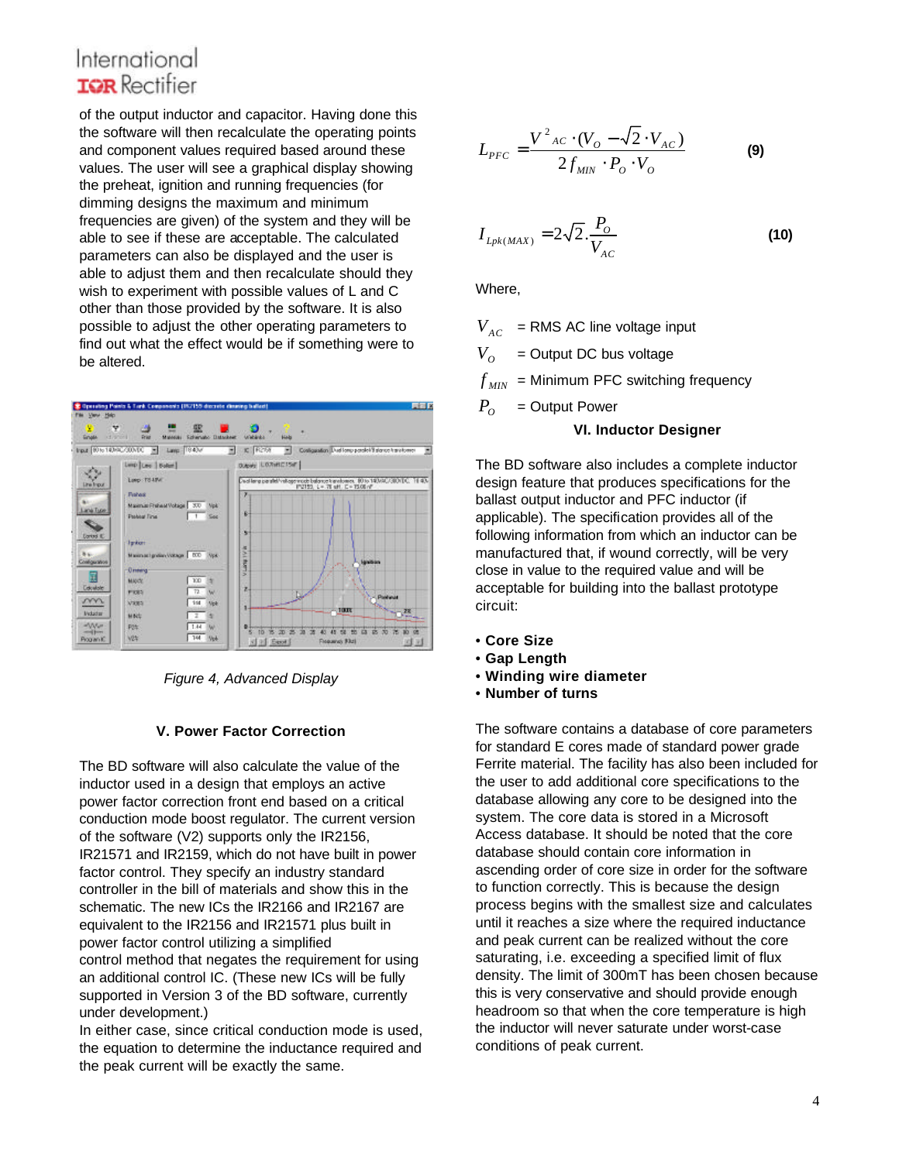of the output inductor and capacitor. Having done this the software will then recalculate the operating points and component values required based around these values. The user will see a graphical display showing the preheat, ignition and running frequencies (for dimming designs the maximum and minimum frequencies are given) of the system and they will be able to see if these are acceptable. The calculated parameters can also be displayed and the user is able to adjust them and then recalculate should they wish to experiment with possible values of L and C other than those provided by the software. It is also possible to adjust the other operating parameters to find out what the effect would be if something were to be altered.



*Figure 4, Advanced Display*

#### **V. Power Factor Correction**

The BD software will also calculate the value of the inductor used in a design that employs an active power factor correction front end based on a critical conduction mode boost regulator. The current version of the software (V2) supports only the IR2156, IR21571 and IR2159, which do not have built in power factor control. They specify an industry standard controller in the bill of materials and show this in the schematic. The new ICs the IR2166 and IR2167 are equivalent to the IR2156 and IR21571 plus built in power factor control utilizing a simplified control method that negates the requirement for using an additional control IC. (These new ICs will be fully supported in Version 3 of the BD software, currently under development.)

In either case, since critical conduction mode is used, the equation to determine the inductance required and the peak current will be exactly the same.

$$
L_{PFC} = \frac{V^2{}_{AC} \cdot (V_o - \sqrt{2} \cdot V_{AC})}{2f_{MIN} \cdot P_o \cdot V_o}
$$
 (9)

$$
I_{Lpk(MAX)} = 2\sqrt{2} \cdot \frac{P_o}{V_{AC}}
$$
 (10)

Where,

 $V_{AC}$  = RMS AC line voltage input  $V_{\alpha}$ = Output DC bus voltage  $f_{MN}$  = Minimum PFC switching frequency  $P$ <sup>*O*</sup> = Output Power

### **VI. Inductor Designer**

The BD software also includes a complete inductor design feature that produces specifications for the ballast output inductor and PFC inductor (if applicable). The specification provides all of the following information from which an inductor can be manufactured that, if wound correctly, will be very close in value to the required value and will be acceptable for building into the ballast prototype circuit:

- **Core Size**
- **Gap Length**
- • **Winding wire diameter**
- • **Number of turns**

The software contains a database of core parameters for standard E cores made of standard power grade Ferrite material. The facility has also been included for the user to add additional core specifications to the database allowing any core to be designed into the system. The core data is stored in a Microsoft Access database. It should be noted that the core database should contain core information in ascending order of core size in order for the software to function correctly. This is because the design process begins with the smallest size and calculates until it reaches a size where the required inductance and peak current can be realized without the core saturating, i.e. exceeding a specified limit of flux density. The limit of 300mT has been chosen because this is very conservative and should provide enough headroom so that when the core temperature is high the inductor will never saturate under worst-case conditions of peak current.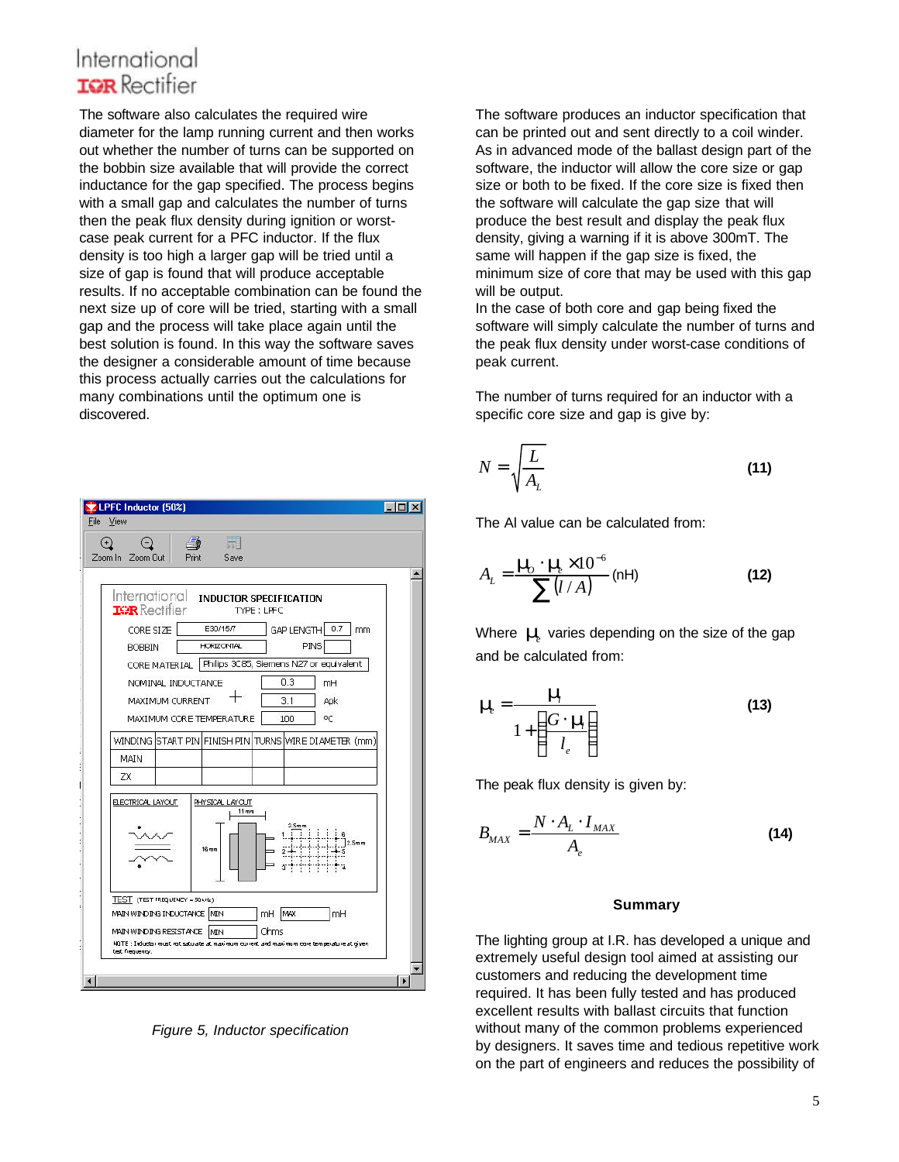The software also calculates the required wire diameter for the lamp running current and then works out whether the number of turns can be supported on the bobbin size available that will provide the correct inductance for the gap specified. The process begins with a small gap and calculates the number of turns then the peak flux density during ignition or worstcase peak current for a PFC inductor. If the flux density is too high a larger gap will be tried until a size of gap is found that will produce acceptable results. If no acceptable combination can be found the next size up of core will be tried, starting with a small gap and the process will take place again until the best solution is found. In this way the software saves the designer a considerable amount of time because this process actually carries out the calculations for many combinations until the optimum one is discovered.



*Figure 5, Inductor specification*

The software produces an inductor specification that can be printed out and sent directly to a coil winder. As in advanced mode of the ballast design part of the software, the inductor will allow the core size or gap size or both to be fixed. If the core size is fixed then the software will calculate the gap size that will produce the best result and display the peak flux density, giving a warning if it is above 300mT. The same will happen if the gap size is fixed, the minimum size of core that may be used with this gap will be output.

In the case of both core and gap being fixed the software will simply calculate the number of turns and the peak flux density under worst-case conditions of peak current.

The number of turns required for an inductor with a specific core size and gap is give by:

$$
N = \sqrt{\frac{L}{A_L}}
$$
 (11)

The Al value can be calculated from:

$$
A_{L} = \frac{\mathbf{m}_{b} \cdot \mathbf{m}_{l} \times 10^{-6}}{\sum_{l} (l / A)} \text{ (nH)} \tag{12}
$$

Where  $m$ <sup>*i*</sup> varies depending on the size of the gap and be calculated from:

$$
\mathbf{m}_l = \frac{\mathbf{m}_l}{1 + \left(\frac{G \cdot \mathbf{m}_l}{l_e}\right)}
$$
(13)

The peak flux density is given by:

$$
B_{MAX} = \frac{N \cdot A_L \cdot I_{MAX}}{A_e}
$$
 (14)

#### **Summary**

The lighting group at I.R. has developed a unique and extremely useful design tool aimed at assisting our customers and reducing the development time required. It has been fully tested and has produced excellent results with ballast circuits that function without many of the common problems experienced by designers. It saves time and tedious repetitive work on the part of engineers and reduces the possibility of